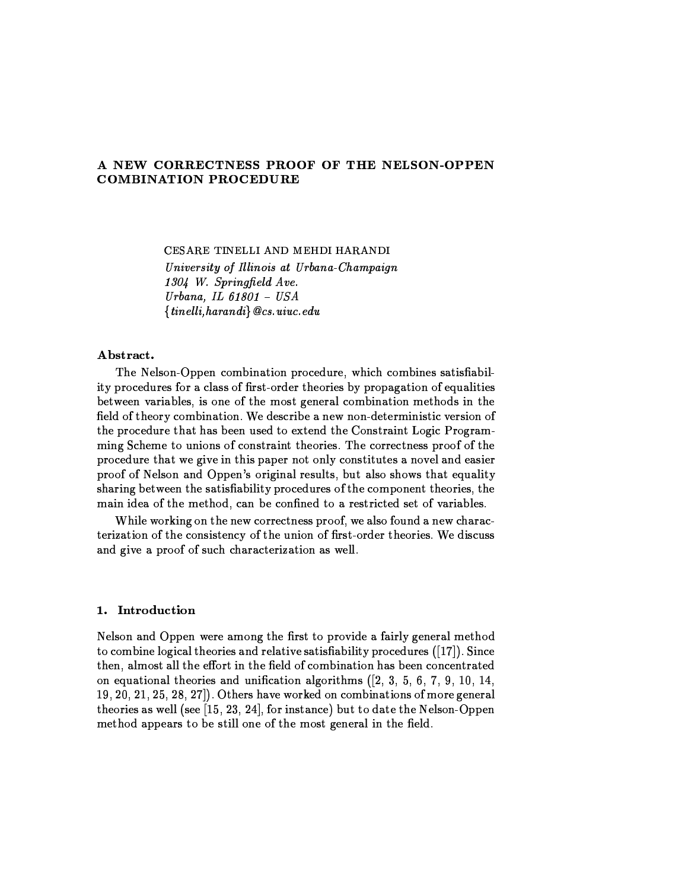# A NEW CORRECTNESS PROOF OF THE NELSON-OPPEN **COMBINATION PROCEDURE**

CESARE TINELLI AND MEHDI HARANDI University of Illinois at Urbana-Champaign 1304 W. Springfield Ave. Urbana, IL  $61801 - USA$  ${linelli, harandi} @cs. uuc.edu$ 

# Abstract.

The Nelson-Oppen combination procedure, which combines satisfiability procedures for a class of first-order theories by propagation of equalities between variables, is one of the most general combination methods in the field of theory combination. We describe a new non-deterministic version of the procedure that has been used to extend the Constraint Logic Programming Scheme to unions of constraint theories. The correctness proof of the procedure that we give in this paper not only constitutes a novel and easier proof of Nelson and Oppen's original results, but also shows that equality sharing between the satisfiability procedures of the component theories, the main idea of the method, can be confined to a restricted set of variables.

While working on the new correctness proof, we also found a new characterization of the consistency of the union of first-order theories. We discuss and give a proof of such characterization as well.

# 1. Introduction

Nelson and Oppen were among the first to provide a fairly general method to combine logical theories and relative satisfiability procedures ([17]). Since then, almost all the effort in the field of combination has been concentrated on equational theories and unification algorithms  $(2, 3, 5, 6, 7, 9, 10, 14,$ 19, 20, 21, 25, 28, 27]). Others have worked on combinations of more general theories as well (see  $[15, 23, 24]$ , for instance) but to date the Nelson-Oppen method appears to be still one of the most general in the field.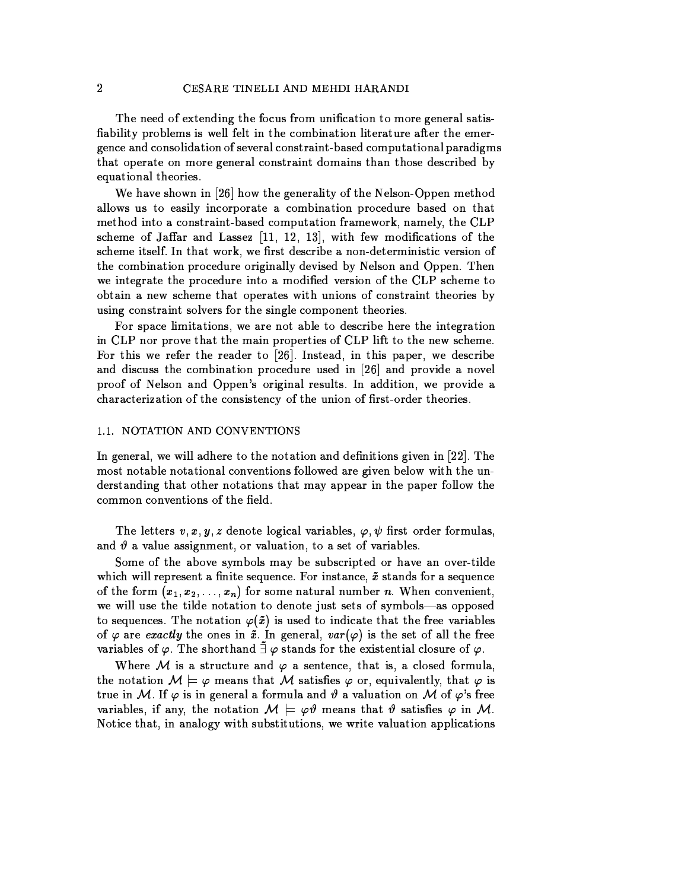The need of extending the focus from unification to more general satisfiability problems is well felt in the combination literature after the emergence and consolidation of several constraint-based computational paradigms that operate on more general constraint domains than those described by equational theories.

We have shown in [26] how the generality of the Nelson-Oppen method allows us to easily incorporate a combination procedure based on that method into a constraint-based computation framework, namely, the CLP scheme of Jaffar and Lassez [11, 12, 13], with few modifications of the scheme itself. In that work, we first describe a non-deterministic version of the combination procedure originally devised by Nelson and Oppen. Then we integrate the procedure into a modified version of the CLP scheme to obtain a new scheme that operates with unions of constraint theories by using constraint solvers for the single component theories.

For space limitations, we are not able to describe here the integration in CLP nor prove that the main properties of CLP lift to the new scheme. For this we refer the reader to [26]. Instead, in this paper, we describe and discuss the combination procedure used in [26] and provide a novel proof of Nelson and Oppen's original results. In addition, we provide a characterization of the consistency of the union of first-order theories.

# 1.1. NOTATION AND CONVENTIONS

In general, we will adhere to the notation and definitions given in [22]. The most notable notational conventions followed are given below with the understanding that other notations that may appear in the paper follow the common conventions of the field.

The letters  $v, x, y, z$  denote logical variables,  $\varphi, \psi$  first order formulas, and  $\vartheta$  a value assignment, or valuation, to a set of variables.

Some of the above symbols may be subscripted or have an over-tilde which will represent a finite sequence. For instance,  $\tilde{x}$  stands for a sequence of the form  $(x_1, x_2, \ldots, x_n)$  for some natural number n. When convenient, we will use the tilde notation to denote just sets of symbols-as opposed to sequences. The notation  $\varphi(\tilde{x})$  is used to indicate that the free variables of  $\varphi$  are exactly the ones in  $\tilde{x}$ . In general,  $var(\varphi)$  is the set of all the free variables of  $\varphi$ . The shorthand  $\tilde{\exists} \varphi$  stands for the existential closure of  $\varphi$ .

Where M is a structure and  $\varphi$  a sentence, that is, a closed formula, the notation  $M \models \varphi$  means that M satisfies  $\varphi$  or, equivalently, that  $\varphi$  is true in M. If  $\varphi$  is in general a formula and  $\vartheta$  a valuation on M of  $\varphi$ 's free variables, if any, the notation  $M \models \varphi \vartheta$  means that  $\vartheta$  satisfies  $\varphi$  in M. Notice that, in analogy with substitutions, we write valuation applications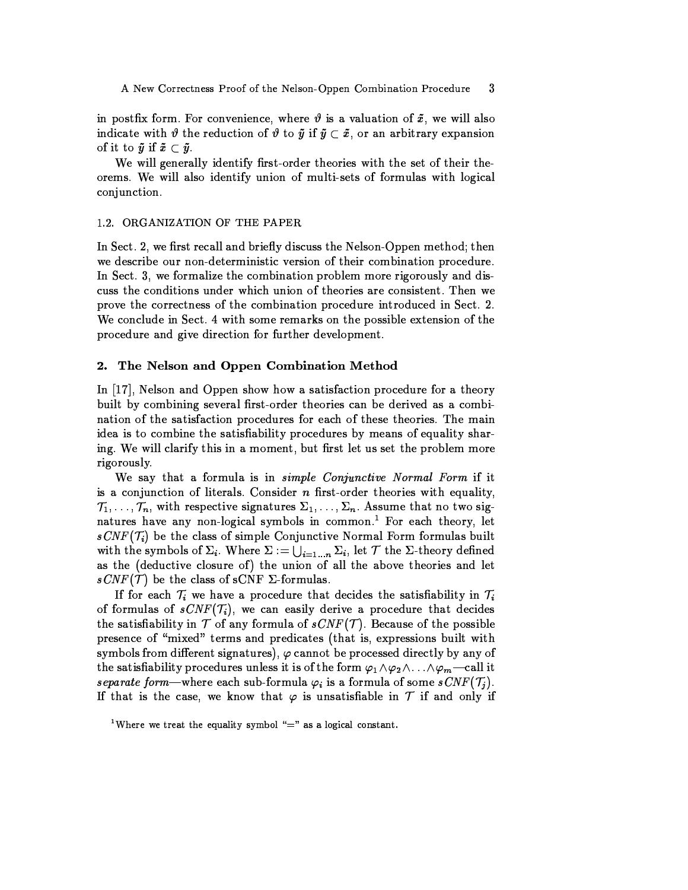in postfix form. For convenience, where  $\vartheta$  is a valuation of  $\tilde{x}$ , we will also indicate with  $\vartheta$  the reduction of  $\vartheta$  to  $\tilde{y}$  if  $\tilde{y} \subset \tilde{x}$ , or an arbitrary expansion of it to  $\tilde{y}$  if  $\tilde{x} \subset \tilde{y}$ .

We will generally identify first-order theories with the set of their theorems. We will also identify union of multi-sets of formulas with logical conjunction.

### 1.2. ORGANIZATION OF THE PAPER

In Sect. 2, we first recall and briefly discuss the Nelson-Oppen method; then we describe our non-deterministic version of their combination procedure. In Sect. 3, we formalize the combination problem more rigorously and discuss the conditions under which union of theories are consistent. Then we prove the correctness of the combination procedure introduced in Sect. 2. We conclude in Sect. 4 with some remarks on the possible extension of the procedure and give direction for further development.

#### The Nelson and Oppen Combination Method 2.

In  $[17]$ , Nelson and Oppen show how a satisfaction procedure for a theory built by combining several first-order theories can be derived as a combination of the satisfaction procedures for each of these theories. The main idea is to combine the satisfiability procedures by means of equality sharing. We will clarify this in a moment, but first let us set the problem more rigorously.

We say that a formula is in *simple Conjunctive Normal Form* if it is a conjunction of literals. Consider  $n$  first-order theories with equality,  $\mathcal{T}_1,\ldots,\mathcal{T}_n$ , with respective signatures  $\Sigma_1,\ldots,\Sigma_n$ . Assume that no two signatures have any non-logical symbols in common.<sup>1</sup> For each theory, let  $sCNF(T_i)$  be the class of simple Conjunctive Normal Form formulas built with the symbols of  $\Sigma_i$ . Where  $\Sigma := \bigcup_{i=1...n} \Sigma_i$ , let  $\mathcal T$  the  $\Sigma$ -theory defined as the (deductive closure of) the union of all the above theories and let  $sCNF(\mathcal{T})$  be the class of sCNF  $\Sigma$ -formulas.

If for each  $\mathcal{T}_i$  we have a procedure that decides the satisfiability in  $\mathcal{T}_i$ of formulas of  $sCNF(\mathcal{T}_i)$ , we can easily derive a procedure that decides the satisfiability in  $T$  of any formula of  $sCNF(T)$ . Because of the possible presence of "mixed" terms and predicates (that is, expressions built with symbols from different signatures),  $\varphi$  cannot be processed directly by any of the satisfiability procedures unless it is of the form  $\varphi_1 \wedge \varphi_2 \wedge \ldots \wedge \varphi_m$  -call it separate form—where each sub-formula  $\varphi_i$  is a formula of some  $sCNF(\mathcal{T}_j)$ . If that is the case, we know that  $\varphi$  is unsatisfiable in T if and only if

<sup>&</sup>lt;sup>1</sup>Where we treat the equality symbol "=" as a logical constant.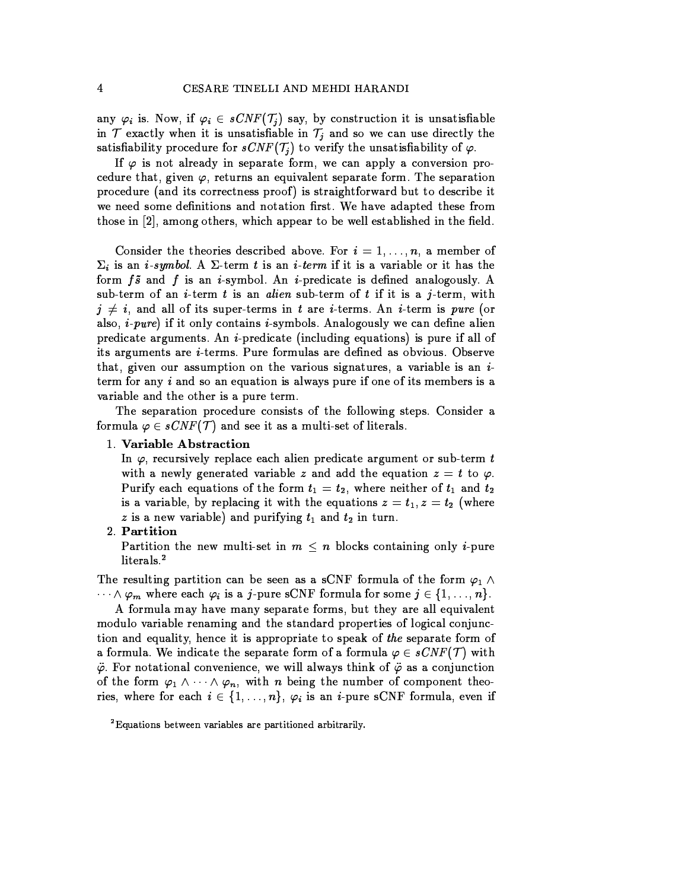any  $\varphi_i$  is. Now, if  $\varphi_i \in sCNF(\mathcal{T}_j)$  say, by construction it is unsatisfiable in  $T$  exactly when it is unsatisfiable in  $T_i$  and so we can use directly the satisfiability procedure for  $sCNF(\mathcal{T}_j)$  to verify the unsatisfiability of  $\varphi$ .

If  $\varphi$  is not already in separate form, we can apply a conversion procedure that, given  $\varphi$ , returns an equivalent separate form. The separation procedure (and its correctness proof) is straightforward but to describe it we need some definitions and notation first. We have adapted these from those in [2], among others, which appear to be well established in the field.

Consider the theories described above. For  $i = 1, \ldots, n$ , a member of  $\Sigma_i$  is an *i-symbol.* A  $\Sigma$ -term *t* is an *i-term* if it is a variable or it has the form  $f\tilde{s}$  and  $f$  is an *i*-symbol. An *i*-predicate is defined analogously. A sub-term of an *i*-term t is an *alien* sub-term of t if it is a j-term, with  $j \neq i$ , and all of its super-terms in t are *i*-terms. An *i*-term is *pure* (or also, *i-pure*) if it only contains *i-symbols*. Analogously we can define alien predicate arguments. An *i*-predicate (including equations) is pure if all of its arguments are *i*-terms. Pure formulas are defined as obvious. Observe that, given our assumption on the various signatures, a variable is an  $i$ term for any  $i$  and so an equation is always pure if one of its members is a variable and the other is a pure term.

The separation procedure consists of the following steps. Consider a formula  $\varphi \in sCNF(\mathcal{T})$  and see it as a multi-set of literals.

# 1. Variable Abstraction

In  $\varphi$ , recursively replace each alien predicate argument or sub-term t with a newly generated variable z and add the equation  $z = t$  to  $\varphi$ . Purify each equations of the form  $t_1 = t_2$ , where neither of  $t_1$  and  $t_2$ is a variable, by replacing it with the equations  $z = t_1, z = t_2$  (where z is a new variable) and purifying  $t_1$  and  $t_2$  in turn.

#### 2. Partition

Partition the new multi-set in  $m \leq n$  blocks containing only *i*-pure literals.<sup>2</sup>

The resulting partition can be seen as a sCNF formula of the form  $\varphi_1 \wedge$  $\cdots \wedge \varphi_m$  where each  $\varphi_i$  is a *j*-pure sCNF formula for some  $j \in \{1, \ldots, n\}$ .

A formula may have many separate forms, but they are all equivalent modulo variable renaming and the standard properties of logical conjunction and equality, hence it is appropriate to speak of the separate form of a formula. We indicate the separate form of a formula  $\varphi \in sCNF(\mathcal{T})$  with  $\ddot{\varphi}$ . For notational convenience, we will always think of  $\ddot{\varphi}$  as a conjunction of the form  $\varphi_1 \wedge \cdots \wedge \varphi_n$ , with *n* being the number of component theories, where for each  $i \in \{1, ..., n\}$ ,  $\varphi_i$  is an *i*-pure sCNF formula, even if

<sup>&</sup>lt;sup>2</sup>Equations between variables are partitioned arbitrarily.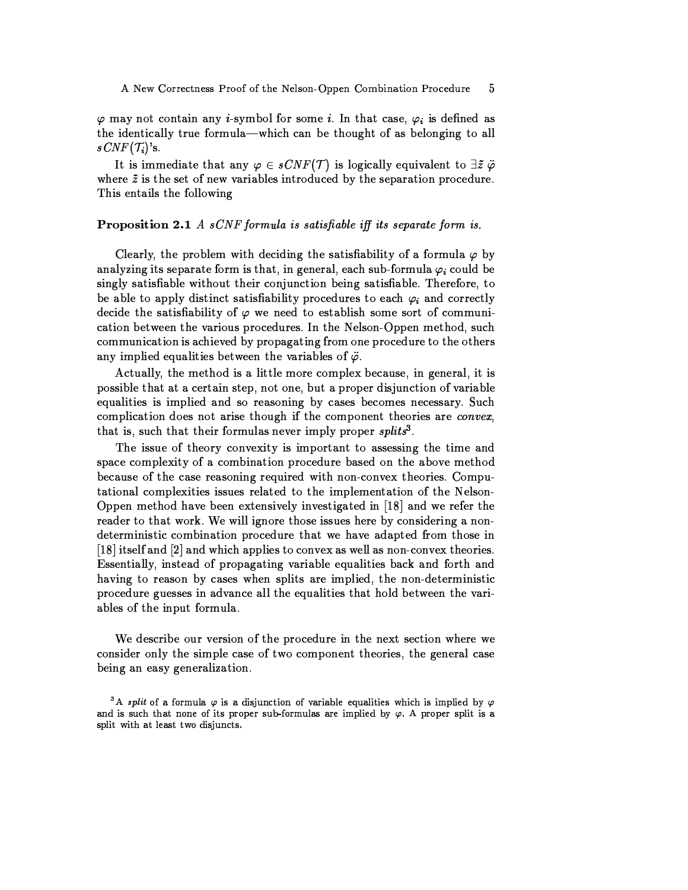$\varphi$  may not contain any *i*-symbol for some *i*. In that case,  $\varphi_i$  is defined as the identically true formula—which can be thought of as belonging to all  $sCNF(\mathcal{T}_i)$ 's.

It is immediate that any  $\varphi \in sCNF(\mathcal{T})$  is logically equivalent to  $\exists \tilde{z} \; \ddot{\varphi}$ where  $\tilde{z}$  is the set of new variables introduced by the separation procedure. This entails the following

## **Proposition 2.1** A  $sCNF$  formula is satisfiable iff its separate form is.

Clearly, the problem with deciding the satisfiability of a formula  $\varphi$  by analyzing its separate form is that, in general, each sub-formula  $\varphi_i$  could be singly satisfiable without their conjunction being satisfiable. Therefore, to be able to apply distinct satisfiability procedures to each  $\varphi_i$  and correctly decide the satisfiability of  $\varphi$  we need to establish some sort of communication between the various procedures. In the Nelson-Oppen method, such communication is achieved by propagating from one procedure to the others any implied equalities between the variables of  $\ddot{\varphi}$ .

Actually, the method is a little more complex because, in general, it is possible that at a certain step, not one, but a proper disjunction of variable equalities is implied and so reasoning by cases becomes necessary. Such complication does not arise though if the component theories are *convex*, that is, such that their formulas never imply proper splits<sup>3</sup>.

The issue of theory convexity is important to assessing the time and space complexity of a combination procedure based on the above method because of the case reasoning required with non-convex theories. Computational complexities issues related to the implementation of the Nelson-Oppen method have been extensively investigated in [18] and we refer the reader to that work. We will ignore those issues here by considering a nondeterministic combination procedure that we have adapted from those in [18] itself and [2] and which applies to convex as well as non-convex theories. Essentially, instead of propagating variable equalities back and forth and having to reason by cases when splits are implied, the non-deterministic procedure guesses in advance all the equalities that hold between the variables of the input formula.

We describe our version of the procedure in the next section where we consider only the simple case of two component theories, the general case being an easy generalization.

<sup>&</sup>lt;sup>3</sup>A *split* of a formula  $\varphi$  is a disjunction of variable equalities which is implied by  $\varphi$ and is such that none of its proper sub-formulas are implied by  $\varphi$ . A proper split is a split with at least two disjuncts.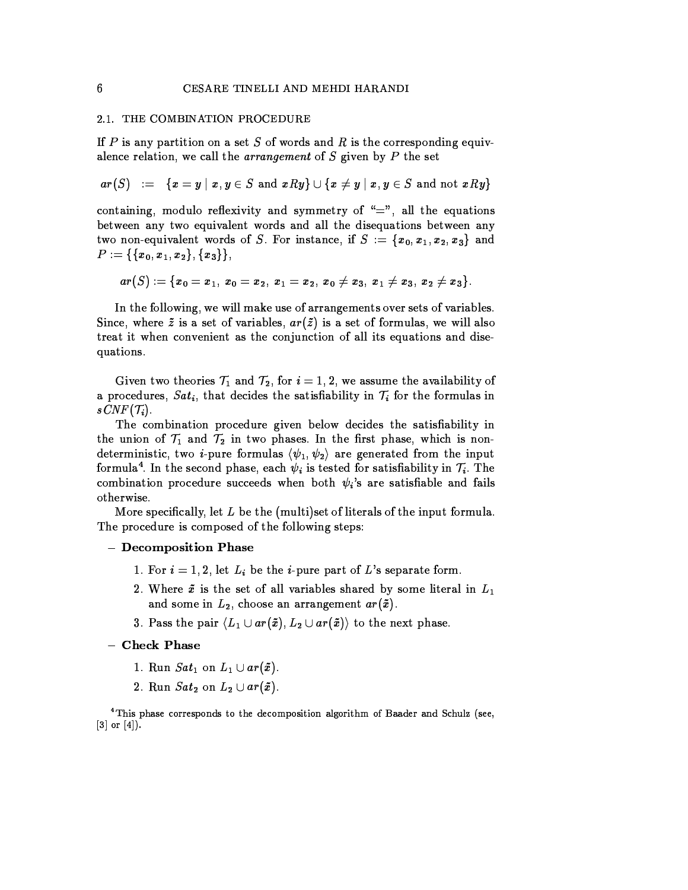### 2.1. THE COMBINATION PROCEDURE

If  $P$  is any partition on a set  $S$  of words and  $R$  is the corresponding equivalence relation, we call the *arrangement* of S given by P the set

 $ar(S) := \{x = y \mid x, y \in S \text{ and } xRy\} \cup \{x \neq y \mid x, y \in S \text{ and not } xRy\}$ 

containing, modulo reflexivity and symmetry of "=", all the equations between any two equivalent words and all the disequations between any two non-equivalent words of S. For instance, if  $S := \{x_0, x_1, x_2, x_3\}$  and  $P:=\{\{x_0,x_1,x_2\},\{x_3\}\},$ 

$$
ar(S):=\{x_0=x_1,\,x_0=x_2,\,x_1=x_2,\,x_0\neq x_3,\,x_1\neq x_3,\,x_2\neq x_3\}.
$$

In the following, we will make use of arrangements over sets of variables. Since, where  $\tilde{z}$  is a set of variables,  $ar(\tilde{z})$  is a set of formulas, we will also treat it when convenient as the conjunction of all its equations and disequations.

Given two theories  $\mathcal{T}_1$  and  $\mathcal{T}_2$ , for  $i=1,2$ , we assume the availability of a procedures,  $Sat_i$ , that decides the satisfiability in  $\mathcal{T}_i$  for the formulas in  $sCNF(\mathcal{T}_i).$ 

The combination procedure given below decides the satisfiability in the union of  $\mathcal{T}_1$  and  $\mathcal{T}_2$  in two phases. In the first phase, which is nondeterministic, two *i*-pure formulas  $\langle \psi_1, \psi_2 \rangle$  are generated from the input formula<sup>4</sup>. In the second phase, each  $\psi_i$  is tested for satisfiability in  $\mathcal{T}_i$ . The combination procedure succeeds when both  $\psi_i$ 's are satisfiable and fails otherwise.

More specifically, let  $L$  be the (multi)set of literals of the input formula. The procedure is composed of the following steps:

#### - Decomposition Phase

- 1. For  $i = 1, 2$ , let  $L_i$  be the *i*-pure part of L's separate form.
- 2. Where  $\tilde{x}$  is the set of all variables shared by some literal in  $L_1$ and some in  $L_2$ , choose an arrangement  $ar(\tilde{x})$ .
- 3. Pass the pair  $\langle L_1 \cup ar(\tilde{x}), L_2 \cup ar(\tilde{x}) \rangle$  to the next phase.

### - Check Phase

- 1. Run  $Sat_1$  on  $L_1 \cup ar(\tilde{x})$
- 2. Run  $Sat_2$  on  $L_2 \cup ar(\tilde{x})$ .

<sup>4</sup>This phase corresponds to the decomposition algorithm of Baader and Schulz (see,  $[3]$  or  $[4]$ ).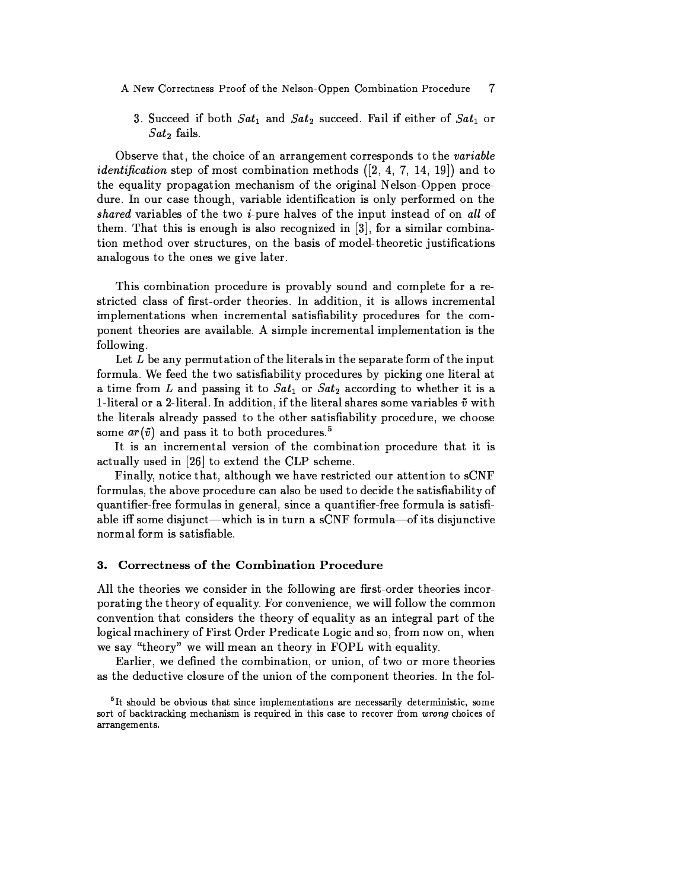#### A New Correctness Proof of the Nelson-Oppen Combination Procedure  $\overline{7}$

3. Succeed if both  $Sat_1$  and  $Sat_2$  succeed. Fail if either of  $Sat_1$  or  $Sat<sub>2</sub>$  fails.

Observe that, the choice of an arrangement corresponds to the variable *identification* step of most combination methods  $([2, 4, 7, 14, 19])$  and to the equality propagation mechanism of the original Nelson-Oppen procedure. In our case though, variable identification is only performed on the shared variables of the two  $i$ -pure halves of the input instead of on all of them. That this is enough is also recognized in  $[3]$ , for a similar combination method over structures, on the basis of model-theoretic justifications analogous to the ones we give later.

This combination procedure is provably sound and complete for a restricted class of first-order theories. In addition, it is allows incremental implementations when incremental satisfiability procedures for the component theories are available. A simple incremental implementation is the following.

Let  $L$  be any permutation of the literals in the separate form of the input formula. We feed the two satisfiability procedures by picking one literal at a time from L and passing it to  $Sat_1$  or  $Sat_2$  according to whether it is a 1-literal or a 2-literal. In addition, if the literal shares some variables  $\tilde{v}$  with the literals already passed to the other satisfiability procedure, we choose some  $ar(\tilde{v})$  and pass it to both procedures.<sup>5</sup>

It is an incremental version of the combination procedure that it is actually used in [26] to extend the CLP scheme.

Finally, notice that, although we have restricted our attention to sCNF formulas, the above procedure can also be used to decide the satisfiability of quantifier-free formulas in general, since a quantifier-free formula is satisfiable iff some disjunct—which is in turn a sCNF formula—of its disjunctive normal form is satisfiable.

#### Correctness of the Combination Procedure 3.

All the theories we consider in the following are first-order theories incorporating the theory of equality. For convenience, we will follow the common convention that considers the theory of equality as an integral part of the logical machinery of First Order Predicate Logic and so, from now on, when we say "theory" we will mean an theory in FOPL with equality.

Earlier, we defined the combination, or union, of two or more theories as the deductive closure of the union of the component theories. In the fol-

<sup>&</sup>lt;sup>5</sup>It should be obvious that since implementations are necessarily deterministic, some sort of backtracking mechanism is required in this case to recover from wrong choices of arrangements.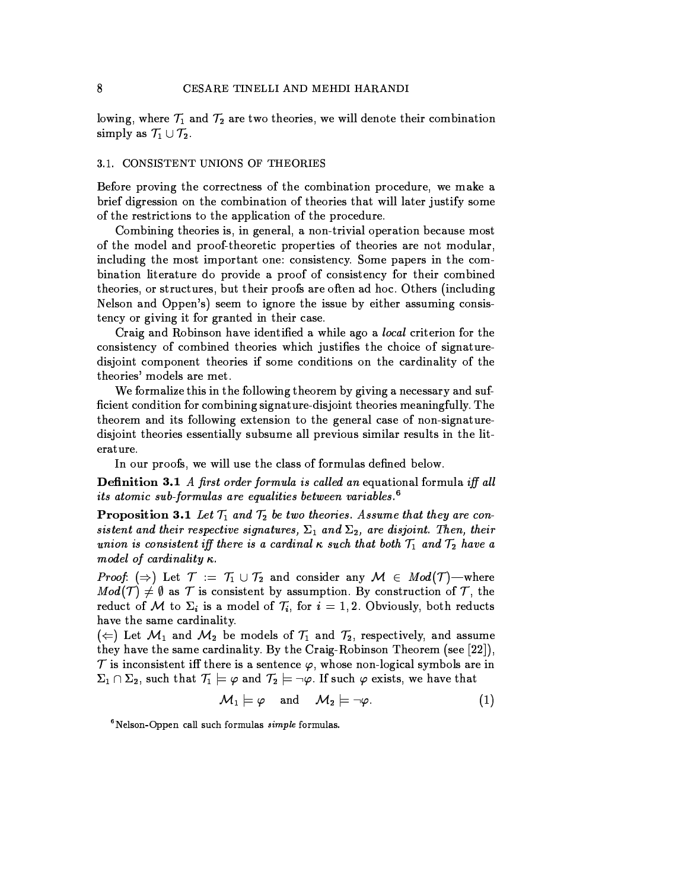lowing, where  $\mathcal{T}_1$  and  $\mathcal{T}_2$  are two theories, we will denote their combination simply as  $\mathcal{T}_1 \cup \mathcal{T}_2$ .

### 3.1. CONSISTENT UNIONS OF THEORIES

Before proving the correctness of the combination procedure, we make a brief digression on the combination of theories that will later justify some of the restrictions to the application of the procedure.

Combining theories is, in general, a non-trivial operation because most of the model and proof-theoretic properties of theories are not modular, including the most important one: consistency. Some papers in the combination literature do provide a proof of consistency for their combined theories, or structures, but their proofs are often ad hoc. Others (including Nelson and Oppen's) seem to ignore the issue by either assuming consistency or giving it for granted in their case.

Craig and Robinson have identified a while ago a local criterion for the consistency of combined theories which justifies the choice of signaturedisjoint component theories if some conditions on the cardinality of the theories' models are met.

We formalize this in the following theorem by giving a necessary and sufficient condition for combining signature-disjoint theories meaningfully. The theorem and its following extension to the general case of non-signaturedisjoint theories essentially subsume all previous similar results in the literature.

In our proofs, we will use the class of formulas defined below.

**Definition 3.1** A first order formula is called an equational formula iff all *its atomic sub-formulas are equalities between variables.*<sup>6</sup>

**Proposition 3.1** Let  $T_1$  and  $T_2$  be two theories. Assume that they are consistent and their respective signatures,  $\Sigma_1$  and  $\Sigma_2$ , are disjoint. Then, their union is consistent iff there is a cardinal  $\kappa$  such that both  $\mathcal{T}_1$  and  $\mathcal{T}_2$  have a model of cardinality  $\kappa$ .

*Proof.* ( $\Rightarrow$ ) Let  $\mathcal{T} := \mathcal{T}_1 \cup \mathcal{T}_2$  and consider any  $\mathcal{M} \in Mod(\mathcal{T})$ —where  $Mod(\mathcal{T}) \neq \emptyset$  as  $\mathcal T$  is consistent by assumption. By construction of  $\mathcal T$ , the reduct of M to  $\Sigma_i$  is a model of  $\mathcal{T}_i$ , for  $i = 1, 2$ . Obviously, both reducts have the same cardinality.

 $(\Leftarrow)$  Let  $\mathcal{M}_1$  and  $\mathcal{M}_2$  be models of  $\mathcal{T}_1$  and  $\mathcal{T}_2$ , respectively, and assume they have the same cardinality. By the Craig-Robinson Theorem (see [22]),  $\mathcal T$  is inconsistent iff there is a sentence  $\varphi$ , whose non-logical symbols are in  $\Sigma_1 \cap \Sigma_2$ , such that  $\mathcal{T}_1 \models \varphi$  and  $\mathcal{T}_2 \models \neg \varphi$ . If such  $\varphi$  exists, we have that

$$
\mathcal{M}_1 \models \varphi \quad \text{and} \quad \mathcal{M}_2 \models \neg \varphi. \tag{1}
$$

 $6$ Nelson-Oppen call such formulas  $simple$  formulas.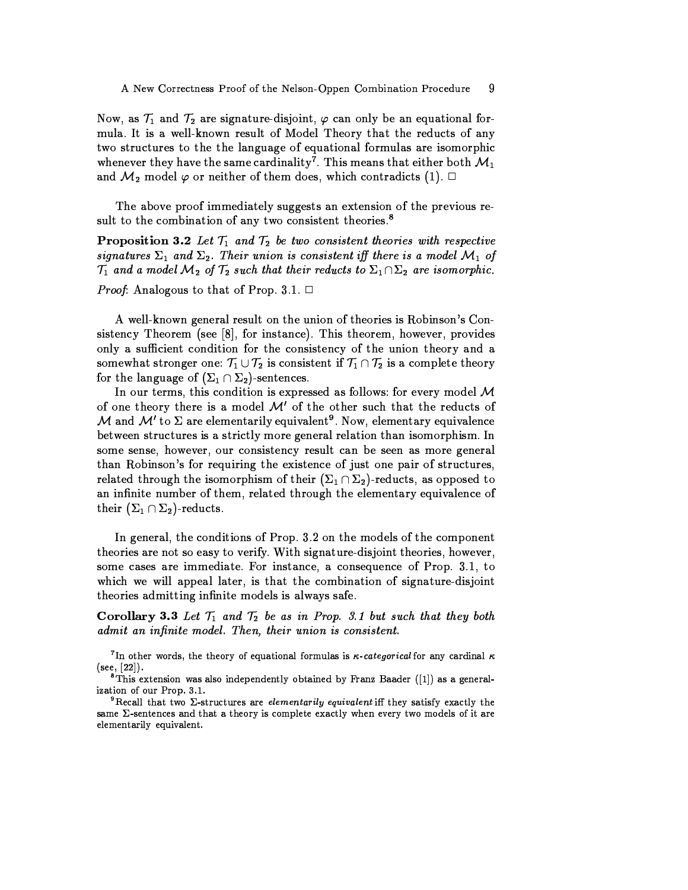Now, as  $\mathcal{T}_1$  and  $\mathcal{T}_2$  are signature-disjoint,  $\varphi$  can only be an equational formula. It is a well-known result of Model Theory that the reducts of any two structures to the the language of equational formulas are isomorphic whenever they have the same cardinality<sup>7</sup>. This means that either both  $\mathcal{M}_1$ and  $\mathcal{M}_2$  model  $\varphi$  or neither of them does, which contradicts (1).  $\Box$ 

The above proof immediately suggests an extension of the previous result to the combination of any two consistent theories.<sup>8</sup>

**Proposition 3.2** Let  $T_1$  and  $T_2$  be two consistent theories with respective signatures  $\Sigma_1$  and  $\Sigma_2$ . Their union is consistent iff there is a model  $\mathcal{M}_1$  of  $\mathcal{T}_1$  and a model  $\mathcal{M}_2$  of  $\mathcal{T}_2$  such that their reducts to  $\Sigma_1 \cap \Sigma_2$  are isomorphic.

*Proof*: Analogous to that of Prop. 3.1.  $\Box$ 

A well-known general result on the union of theories is Robinson's Consistency Theorem (see  $\lceil 8 \rceil$ , for instance). This theorem, however, provides only a sufficient condition for the consistency of the union theory and a somewhat stronger one:  $\mathcal{T}_1 \cup \mathcal{T}_2$  is consistent if  $\mathcal{T}_1 \cap \mathcal{T}_2$  is a complete theory for the language of  $(\Sigma_1 \cap \Sigma_2)$ -sentences.

In our terms, this condition is expressed as follows: for every model  $M$ of one theory there is a model  $\mathcal{M}'$  of the other such that the reducts of M and M' to  $\Sigma$  are elementarily equivalent<sup>9</sup>. Now, elementary equivalence between structures is a strictly more general relation than isomorphism. In some sense, however, our consistency result can be seen as more general than Robinson's for requiring the existence of just one pair of structures, related through the isomorphism of their  $(\Sigma_1 \cap \Sigma_2)$ -reducts, as opposed to an infinite number of them, related through the elementary equivalence of their  $(\Sigma_1 \cap \Sigma_2)$ -reducts.

In general, the conditions of Prop. 3.2 on the models of the component theories are not so easy to verify. With signature-disjoint theories, however, some cases are immediate. For instance, a consequence of Prop. 3.1, to which we will appeal later, is that the combination of signature-disjoint theories admitting infinite models is always safe.

Corollary 3.3 Let  $T_1$  and  $T_2$  be as in Prop. 3.1 but such that they both admit an infinite model. Then, their union is consistent.

<sup>7</sup>In other words, the theory of equational formulas is  $\kappa$ -categorical for any cardinal  $\kappa$  $(see, [22]).$ 

 ${}^8$ This extension was also independently obtained by Franz Baader ([1]) as a generalization of our Prop. 3.1.

<sup>9</sup>Recall that two  $\Sigma$ -structures are *elementarily equivalent* iff they satisfy exactly the same  $\Sigma$ -sentences and that a theory is complete exactly when every two models of it are elementarily equivalent.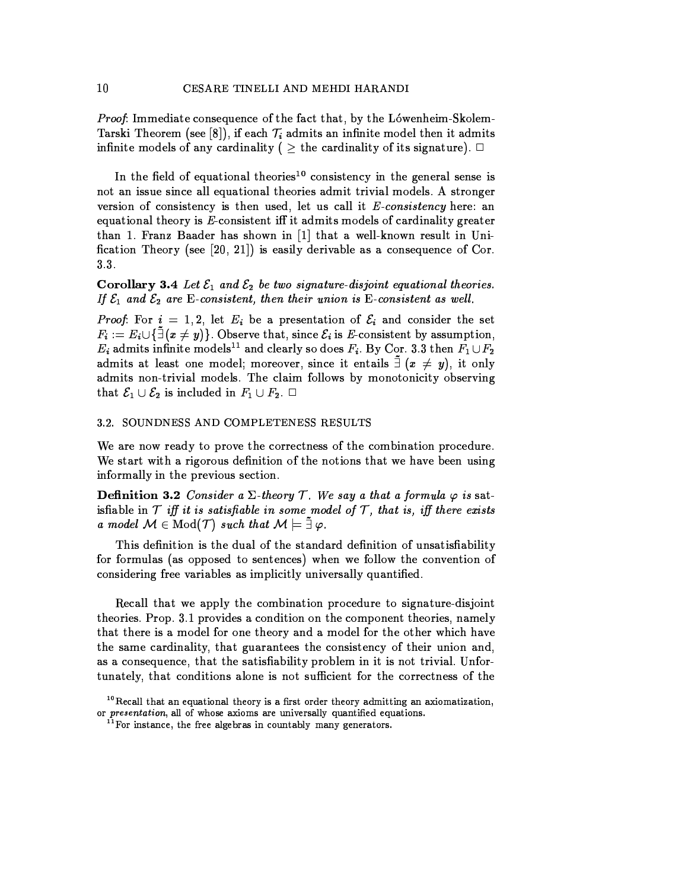*Proof:* Immediate consequence of the fact that, by the Lówenheim-Skolem-Tarski Theorem (see [8]), if each  $\mathcal{T}_i$  admits an infinite model then it admits infinite models of any cardinality ( $\geq$  the cardinality of its signature).  $\Box$ 

In the field of equational theories<sup>10</sup> consistency in the general sense is not an issue since all equational theories admit trivial models. A stronger version of consistency is then used, let us call it  $E$ -consistency here: an equational theory is E-consistent iff it admits models of cardinality greater than 1. Franz Baader has shown in [1] that a well-known result in Unification Theory (see [20, 21]) is easily derivable as a consequence of Cor.  $3.3.$ 

**Corollary 3.4** Let  $\mathcal{E}_1$  and  $\mathcal{E}_2$  be two signature-disjoint equational theories. If  $\mathcal{E}_1$  and  $\mathcal{E}_2$  are E-consistent, then their union is E-consistent as well.

*Proof.* For  $i = 1, 2$ , let  $E_i$  be a presentation of  $\mathcal{E}_i$  and consider the set  $F_i := E_i \cup \{\tilde{\exists} (x \neq y)\}\.$  Observe that, since  $\mathcal{E}_i$  is E-consistent by assumption,  $E_i$  admits infinite models<sup>11</sup> and clearly so does  $F_i$ . By Cor. 3.3 then  $F_1 \cup F_2$ admits at least one model; moreover, since it entails  $\bar{=} (x \neq y)$ , it only admits non-trivial models. The claim follows by monotonicity observing that  $\mathcal{E}_1 \cup \mathcal{E}_2$  is included in  $F_1 \cup F_2$ .  $\Box$ 

### 3.2. SOUNDNESS AND COMPLETENESS RESULTS

We are now ready to prove the correctness of the combination procedure. We start with a rigorous definition of the notions that we have been using informally in the previous section.

**Definition 3.2** Consider a  $\Sigma$ -theory  $\mathcal T$ . We say a that a formula  $\varphi$  is satis fiable in  $\mathcal T$  iff it is satisfiable in some model of  $\mathcal T$ , that is, iff there exists a model  $\mathcal{M} \in Mod(T)$  such that  $\mathcal{M} \models \tilde{\exists} \varphi$ .

This definition is the dual of the standard definition of unsatisfiability for formulas (as opposed to sentences) when we follow the convention of considering free variables as implicitly universally quantified.

Recall that we apply the combination procedure to signature-disjoint theories. Prop. 3.1 provides a condition on the component theories, namely that there is a model for one theory and a model for the other which have the same cardinality, that guarantees the consistency of their union and, as a consequence, that the satisfiability problem in it is not trivial. Unfortunately, that conditions alone is not sufficient for the correctness of the

<sup>&</sup>lt;sup>10</sup> Recall that an equational theory is a first order theory admitting an axiomatization, or *presentation*, all of whose axioms are universally quantified equations.

 $11$  For instance, the free algebras in countably many generators.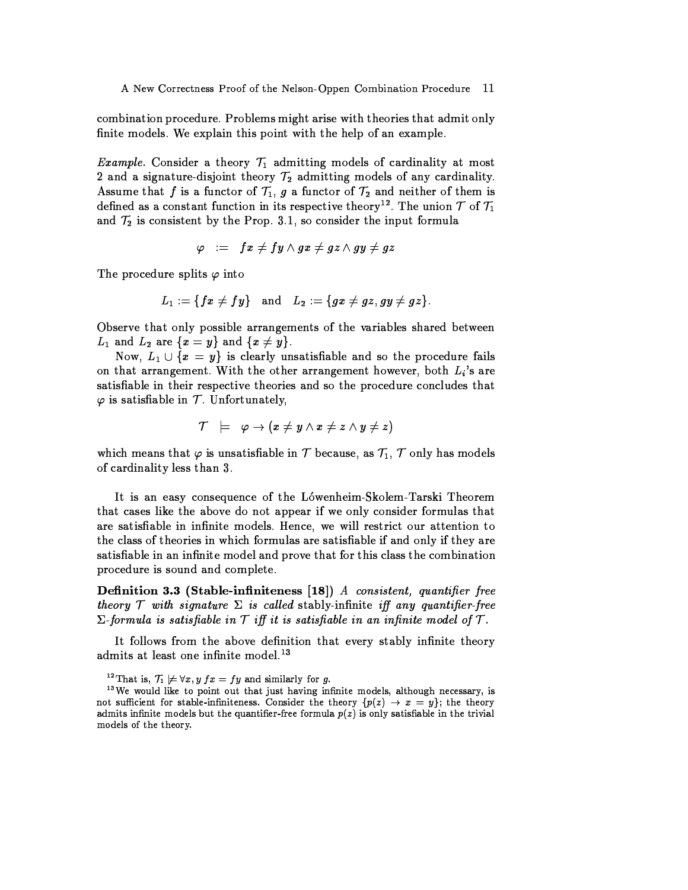combination procedure. Problems might arise with theories that admit only finite models. We explain this point with the help of an example.

*Example.* Consider a theory  $T_1$  admitting models of cardinality at most 2 and a signature-disjoint theory  $\mathcal{T}_2$  admitting models of any cardinality. Assume that f is a functor of  $\mathcal{T}_1$ , g a functor of  $\mathcal{T}_2$  and neither of them is defined as a constant function in its respective theory<sup>12</sup>. The union  $\mathcal T$  of  $\mathcal T_1$ and  $\mathcal{T}_2$  is consistent by the Prop. 3.1, so consider the input formula

$$
\varphi \hspace{3pt} := \hspace{3pt} fx \neq fy \wedge gx \neq gz \wedge gy \neq gz
$$

The procedure splits  $\varphi$  into

$$
L_1:=\{fx\neq fy\}\quad\text{and}\quad L_2:=\{gx\neq gz, gy\neq gz\}
$$

Observe that only possible arrangements of the variables shared between  $L_1$  and  $L_2$  are  $\{x=y\}$  and  $\{x\neq y\}$ .

Now,  $L_1 \cup \{x = y\}$  is clearly unsatisfiable and so the procedure fails on that arrangement. With the other arrangement however, both  $L_i$ 's are satisfiable in their respective theories and so the procedure concludes that  $\varphi$  is satisfiable in  $\mathcal T$ . Unfortunately,

$$
\mathcal{T} \models \varphi \rightarrow (x \neq y \land x \neq z \land y \neq z)
$$

which means that  $\varphi$  is unsatisfiable in T because, as  $T_1$ , T only has models of cardinality less than 3.

It is an easy consequence of the Lówenheim-Skolem-Tarski Theorem that cases like the above do not appear if we only consider formulas that are satisfiable in infinite models. Hence, we will restrict our attention to the class of theories in which formulas are satisfiable if and only if they are satisfiable in an infinite model and prove that for this class the combination procedure is sound and complete.

Definition 3.3 (Stable-infiniteness [18]) A consistent, quantifier free theory  $\mathcal T$  with signature  $\Sigma$  is called stably-infinite iff any quantifier-free  $\Sigma$ -formula is satisfiable in T iff it is satisfiable in an infinite model of T.

It follows from the above definition that every stably infinite theory admits at least one infinite model.<sup>13</sup>

<sup>12</sup>That is,  $\mathcal{T}_1 \not\models \forall x, y \ fx = fy$  and similarly for g.

<sup>&</sup>lt;sup>13</sup> We would like to point out that just having infinite models, although necessary, is not sufficient for stable-infiniteness. Consider the theory  $\{p(z) \rightarrow x = y\}$ ; the theory admits infinite models but the quantifier-free formula  $p(z)$  is only satisfiable in the trivial models of the theory.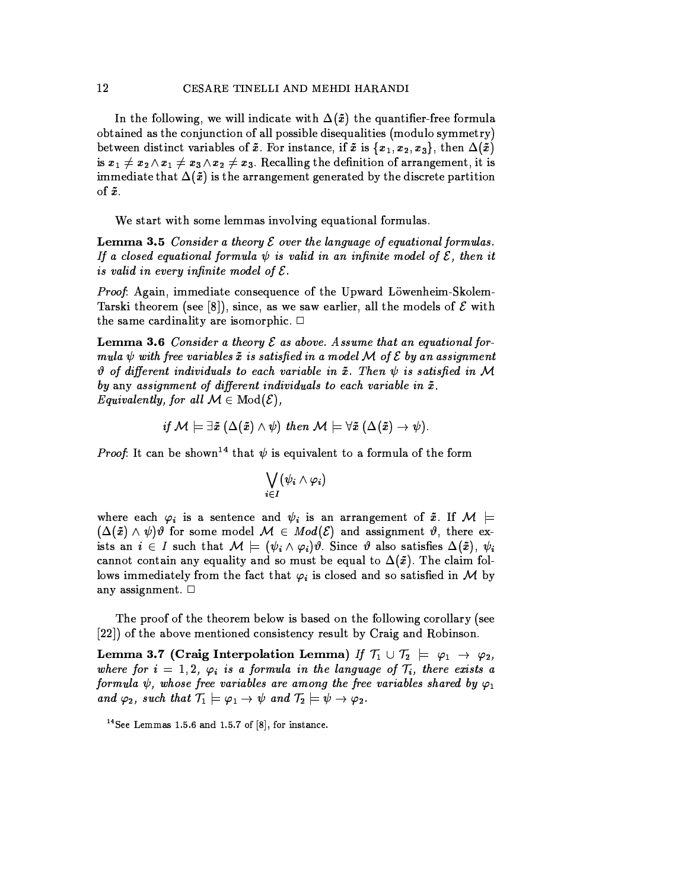In the following, we will indicate with  $\Delta(\tilde{x})$  the quantifier-free formula obtained as the conjunction of all possible disequalities (modulo symmetry) between distinct variables of  $\tilde{x}$ . For instance, if  $\tilde{x}$  is  $\{x_1, x_2, x_3\}$ , then  $\Delta(\tilde{x})$ is  $x_1 \neq x_2 \wedge x_1 \neq x_3 \wedge x_2 \neq x_3$ . Recalling the definition of arrangement, it is immediate that  $\Delta(\tilde{x})$  is the arrangement generated by the discrete partition of  $\tilde{x}$ .

We start with some lemmas involving equational formulas.

**Lemma 3.5** Consider a theory  $\mathcal E$  over the language of equational formulas. If a closed equational formula  $\psi$  is valid in an infinite model of  $\mathcal E$ , then it is valid in every infinite model of  $\mathcal E$ .

*Proof:* Again, immediate consequence of the Upward Löwenheim-Skolem-Tarski theorem (see [8]), since, as we saw earlier, all the models of  $\mathcal E$  with the same cardinality are isomorphic.  $\Box$ 

**Lemma 3.6** Consider a theory  $\mathcal E$  as above. Assume that an equational formula  $\psi$  with free variables  $\tilde{x}$  is satisfied in a model M of E by an assignment  $\vartheta$  of different individuals to each variable in  $\tilde{x}$ . Then  $\psi$  is satisfied in M by any assignment of different individuals to each variable in  $\tilde{x}$ . Equivalently, for all  $\mathcal{M} \in Mod(\mathcal{E})$ ,

if  $M \models \exists \tilde{x} (\Delta(\tilde{x}) \wedge \psi)$  then  $M \models \forall \tilde{x} (\Delta(\tilde{x}) \rightarrow \psi)$ .

*Proof.* It can be shown<sup>14</sup> that  $\psi$  is equivalent to a formula of the form

$$
\bigvee_{i\in I}(\psi_i\wedge\varphi_i)
$$

where each  $\varphi_i$  is a sentence and  $\psi_i$  is an arrangement of  $\tilde{x}$ . If  $\mathcal{M}$  =  $(\Delta(\tilde{x}) \wedge \psi)\vartheta$  for some model  $\mathcal{M} \in Mod(\mathcal{E})$  and assignment  $\vartheta$ , there exists an  $i \in I$  such that  $\mathcal{M} \models (\psi_i \land \varphi_i)\vartheta$ . Since  $\vartheta$  also satisfies  $\Delta(\tilde{x})$ ,  $\psi_i$ cannot contain any equality and so must be equal to  $\Delta(\tilde{x})$ . The claim follows immediately from the fact that  $\varphi_i$  is closed and so satisfied in M by any assignment.  $\Box$ 

The proof of the theorem below is based on the following corollary (see [22]) of the above mentioned consistency result by Craig and Robinson.

Lemma 3.7 (Craig Interpolation Lemma) If  $\mathcal{T}_1 \cup \mathcal{T}_2 \models \varphi_1 \rightarrow \varphi_2$ , where for  $i = 1, 2, \varphi_i$  is a formula in the language of  $\mathcal{T}_i$ , there exists a formula  $\psi$ , whose free variables are among the free variables shared by  $\varphi_1$ and  $\varphi_2$ , such that  $\mathcal{T}_1 \models \varphi_1 \rightarrow \psi$  and  $\mathcal{T}_2 \models \psi \rightarrow \varphi_2$ .

<sup>&</sup>lt;sup>14</sup> See Lemmas 1.5.6 and 1.5.7 of  $[8]$ , for instance.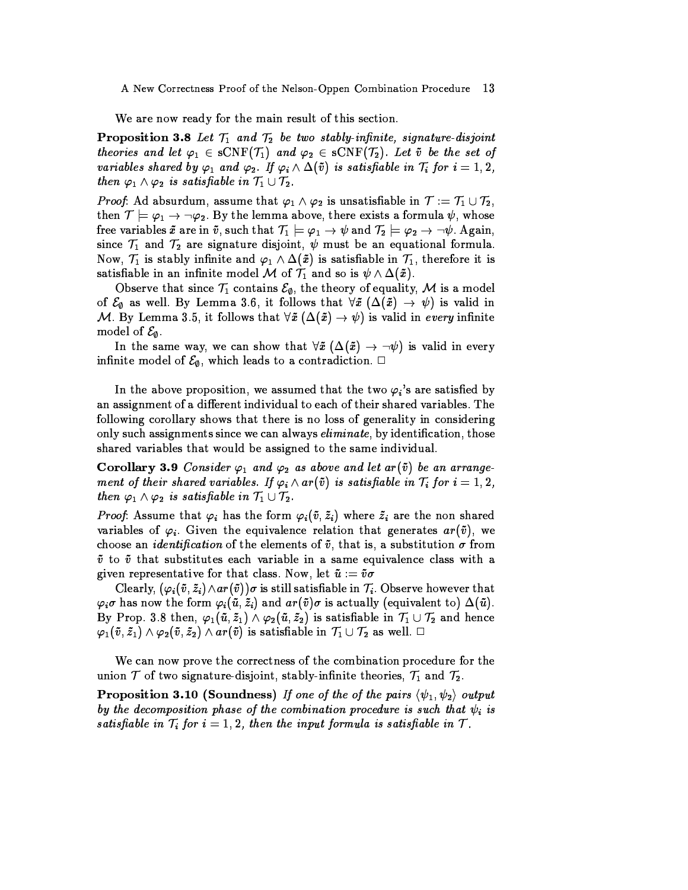A New Correctness Proof of the Nelson-Oppen Combination Procedure 13

We are now ready for the main result of this section.

**Proposition 3.8** Let  $T_1$  and  $T_2$  be two stably-infinite, signature-disjoint theories and let  $\varphi_1 \in sCNF(\mathcal{T}_1)$  and  $\varphi_2 \in sCNF(\mathcal{T}_2)$ . Let  $\tilde{v}$  be the set of variables shared by  $\varphi_1$  and  $\varphi_2$ . If  $\varphi_i \wedge \Delta(\tilde{v})$  is satisfiable in  $\mathcal{T}_i$  for  $i = 1, 2$ , then  $\varphi_1 \wedge \varphi_2$  is satisfiable in  $\mathcal{T}_1 \cup \mathcal{T}_2$ .

*Proof*: Ad absurdum, assume that  $\varphi_1 \wedge \varphi_2$  is unsatisfiable in  $\mathcal{T} := \mathcal{T}_1 \cup \mathcal{T}_2$ , then  $\mathcal{T} \models \varphi_1 \rightarrow \neg \varphi_2$ . By the lemma above, there exists a formula  $\psi$ , whose free variables  $\tilde{x}$  are in  $\tilde{v}$ , such that  $\mathcal{T}_1 \models \varphi_1 \rightarrow \psi$  and  $\mathcal{T}_2 \models \varphi_2 \rightarrow \neg \psi$ . Again, since  $\mathcal{T}_1$  and  $\mathcal{T}_2$  are signature disjoint,  $\psi$  must be an equational formula. Now,  $\mathcal{T}_1$  is stably infinite and  $\varphi_1 \wedge \Delta(\tilde{x})$  is satisfiable in  $\mathcal{T}_1$ , therefore it is satisfiable in an infinite model M of  $\mathcal{T}_1$  and so is  $\psi \wedge \Delta(\tilde{x})$ .

Observe that since  $\mathcal{T}_1$  contains  $\mathcal{E}_{\emptyset}$ , the theory of equality, M is a model of  $\mathcal{E}_{\emptyset}$  as well. By Lemma 3.6, it follows that  $\forall \tilde{x}$  ( $\Delta(\tilde{x}) \rightarrow \psi$ ) is valid in M. By Lemma 3.5, it follows that  $\forall \tilde{x} (\Delta(\tilde{x}) \rightarrow \psi)$  is valid in every infinite model of  $\mathcal{E}_{\emptyset}$ .

In the same way, we can show that  $\forall \tilde{x}$   $(\Delta(\tilde{x}) \rightarrow \neg \psi)$  is valid in every infinite model of  $\mathcal{E}_{\emptyset}$ , which leads to a contradiction.  $\Box$ 

In the above proposition, we assumed that the two  $\varphi_i$ 's are satisfied by an assignment of a different individual to each of their shared variables. The following corollary shows that there is no loss of generality in considering only such assignments since we can always *eliminate*, by identification, those shared variables that would be assigned to the same individual.

**Corollary 3.9** Consider  $\varphi_1$  and  $\varphi_2$  as above and let  $ar(\tilde{v})$  be an arrangement of their shared variables. If  $\varphi_i \wedge ar(\tilde{v})$  is satisfiable in  $\mathcal{T}_i$  for  $i = 1, 2$ , then  $\varphi_1 \wedge \varphi_2$  is satisfiable in  $\mathcal{T}_1 \cup \mathcal{T}_2$ .

*Proof*: Assume that  $\varphi_i$  has the form  $\varphi_i(\tilde{v}, \tilde{z}_i)$  where  $\tilde{z}_i$  are the non shared variables of  $\varphi_i$ . Given the equivalence relation that generates  $ar(\tilde{v})$ , we choose an *identification* of the elements of  $\tilde{v}$ , that is, a substitution  $\sigma$  from  $\tilde{v}$  to  $\tilde{v}$  that substitutes each variable in a same equivalence class with a given representative for that class. Now, let  $\tilde{u} := \tilde{v}\sigma$ 

Clearly,  $(\varphi_i(\tilde{v},\tilde{z}_i) \wedge ar(\tilde{v}))\sigma$  is still satisfiable in  $\mathcal{T}_i$ . Observe however that  $\varphi_i\sigma$  has now the form  $\varphi_i(\tilde{u},\tilde{z}_i)$  and  $ar(\tilde{v})\sigma$  is actually (equivalent to)  $\Delta(\tilde{u})$ . By Prop. 3.8 then,  $\varphi_1(\tilde{u},\tilde{z}_1) \wedge \varphi_2(\tilde{u},\tilde{z}_2)$  is satisfiable in  $\mathcal{T}_1 \cup \mathcal{T}_2$  and hence  $\varphi_1(\tilde v, \tilde z_1) \wedge \varphi_2(\tilde v, \tilde z_2) \wedge ar(\tilde v)$  is satisfiable in  $\mathcal{T}_1 \cup \mathcal{T}_2$  as well.  $\Box$ 

We can now prove the correctness of the combination procedure for the union  $\mathcal T$  of two signature-disjoint, stably-infinite theories,  $\mathcal T_1$  and  $\mathcal T_2$ .

**Proposition 3.10 (Soundness)** If one of the of the pairs  $\langle \psi_1, \psi_2 \rangle$  output by the decomposition phase of the combination procedure is such that  $\psi_i$  is satisfiable in  $\mathcal{T}_i$  for  $i = 1, 2$ , then the input formula is satisfiable in  $\mathcal{T}_i$ .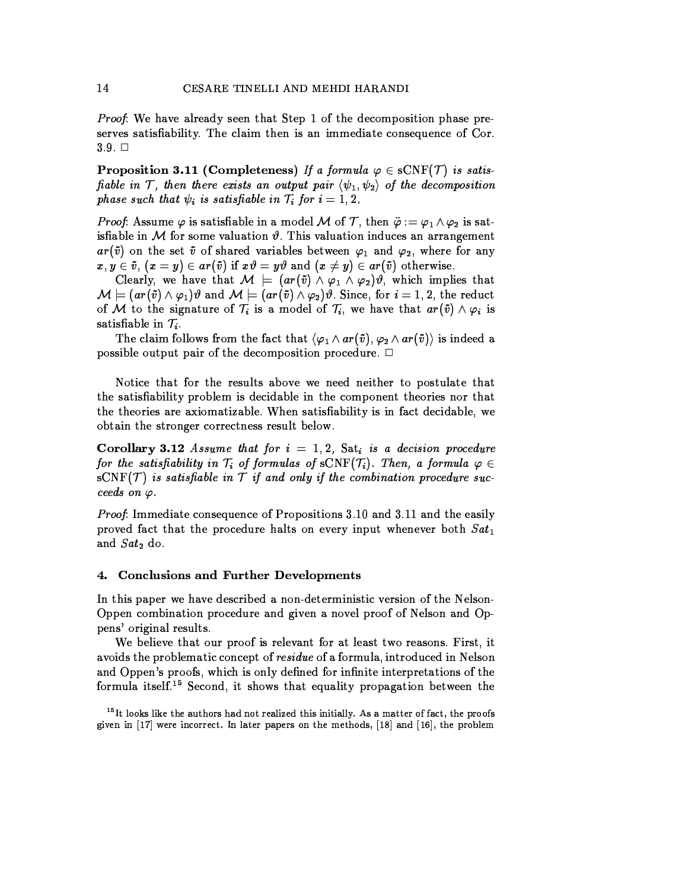*Proof:* We have already seen that Step 1 of the decomposition phase preserves satisfiability. The claim then is an immediate consequence of Cor.  $3.9. \square$ 

**Proposition 3.11 (Completeness)** If a formula  $\varphi \in sCNF(\mathcal{T})$  is satisfiable in T, then there exists an output pair  $\langle \psi_1, \psi_2 \rangle$  of the decomposition phase such that  $\psi_i$  is satisfiable in  $\mathcal{T}_i$  for  $i = 1, 2$ .

*Proof.* Assume  $\varphi$  is satisfiable in a model M of T, then  $\ddot{\varphi} := \varphi_1 \wedge \varphi_2$  is satisfiable in M for some valuation  $\vartheta$ . This valuation induces an arrangement  $ar(\tilde{v})$  on the set  $\tilde{v}$  of shared variables between  $\varphi_1$  and  $\varphi_2$ , where for any  $x, y \in \tilde{v}$ ,  $(x = y) \in ar(\tilde{v})$  if  $x\vartheta = y\vartheta$  and  $(x \neq y) \in ar(\tilde{v})$  otherwise.

Clearly, we have that  $\mathcal{M} \models (ar(\tilde{v}) \wedge \varphi_1 \wedge \varphi_2)\vartheta$ , which implies that  $\mathcal{M} \models (ar(\tilde{v}) \wedge \varphi_1)\vartheta$  and  $\mathcal{M} \models (ar(\tilde{v}) \wedge \varphi_2)\vartheta$ . Since, for  $i = 1, 2$ , the reduct of M to the signature of  $\mathcal{T}_i$  is a model of  $\mathcal{T}_i$ , we have that  $ar(\tilde{v}) \wedge \varphi_i$  is satisfiable in  $\mathcal{T}_i$ .

The claim follows from the fact that  $\langle \varphi_1 \wedge ar(\tilde{v}), \varphi_2 \wedge ar(\tilde{v}) \rangle$  is indeed a possible output pair of the decomposition procedure.  $\Box$ 

Notice that for the results above we need neither to postulate that the satisfiability problem is decidable in the component theories nor that the theories are axiomatizable. When satisfiability is in fact decidable, we obtain the stronger correctness result below.

**Corollary 3.12** Assume that for  $i = 1, 2$ , Sat, is a decision procedure for the satisfiability in  $T_i$  of formulas of sCNF( $T_i$ ). Then, a formula  $\varphi \in$  $sCNF(\mathcal{T})$  is satisfiable in  $\mathcal{T}$  if and only if the combination procedure succeeds on  $\varphi$ .

*Proof:* Immediate consequence of Propositions 3.10 and 3.11 and the easily proved fact that the procedure halts on every input whenever both  $Sat_1$ and  $Sat_2$  do.

#### **Conclusions and Further Developments**  $\mathbf 4$ .

In this paper we have described a non-deterministic version of the Nelson-Oppen combination procedure and given a novel proof of Nelson and Oppens' original results.

We believe that our proof is relevant for at least two reasons. First, it avoids the problematic concept of residue of a formula, introduced in Nelson and Oppen's proofs, which is only defined for infinite interpretations of the formula itself.<sup>15</sup> Second, it shows that equality propagation between the

 $15$  It looks like the authors had not realized this initially. As a matter of fact, the proofs given in  $[17]$  were incorrect. In later papers on the methods,  $[18]$  and  $[16]$ , the problem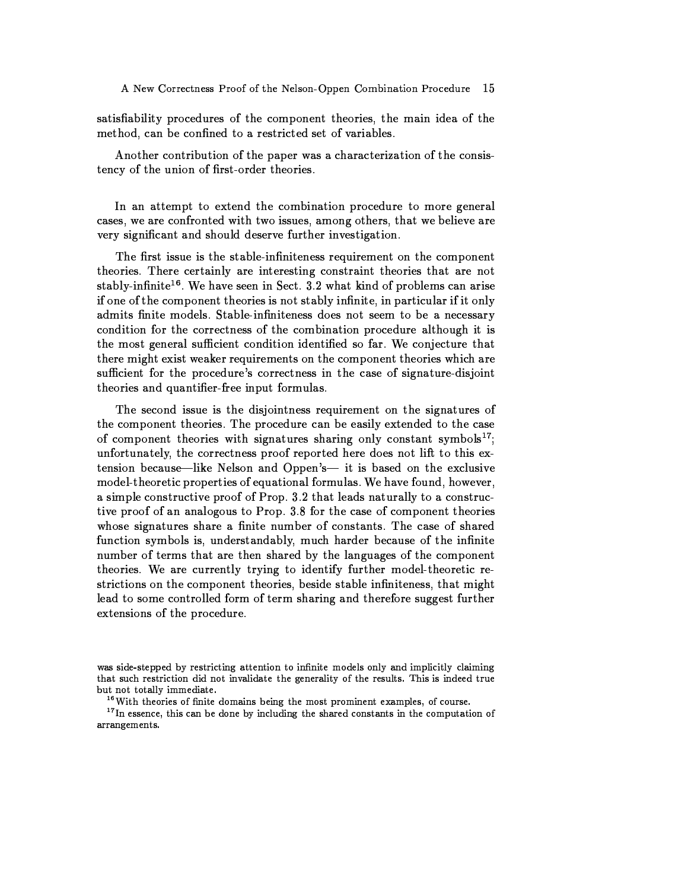satisfiability procedures of the component theories, the main idea of the method, can be confined to a restricted set of variables.

Another contribution of the paper was a characterization of the consistency of the union of first-order theories.

In an attempt to extend the combination procedure to more general cases, we are confronted with two issues, among others, that we believe are very significant and should deserve further investigation.

The first issue is the stable-infiniteness requirement on the component theories. There certainly are interesting constraint theories that are not stably-infinite<sup>16</sup>. We have seen in Sect. 3.2 what kind of problems can arise if one of the component theories is not stably infinite, in particular if it only admits finite models. Stable-infiniteness does not seem to be a necessary condition for the correctness of the combination procedure although it is the most general sufficient condition identified so far. We conjecture that there might exist weaker requirements on the component theories which are sufficient for the procedure's correctness in the case of signature-disjoint theories and quantifier-free input formulas.

The second issue is the disjointness requirement on the signatures of the component theories. The procedure can be easily extended to the case of component theories with signatures sharing only constant symbols<sup>17</sup>; unfortunately, the correctness proof reported here does not lift to this extension because—like Nelson and Oppen's— it is based on the exclusive model-theoretic properties of equational formulas. We have found, however, a simple constructive proof of Prop. 3.2 that leads naturally to a constructive proof of an analogous to Prop. 3.8 for the case of component theories whose signatures share a finite number of constants. The case of shared function symbols is, understandably, much harder because of the infinite number of terms that are then shared by the languages of the component theories. We are currently trying to identify further model-theoretic restrictions on the component theories, beside stable infiniteness, that might lead to some controlled form of term sharing and therefore suggest further extensions of the procedure.

was side-stepped by restricting attention to infinite models only and implicitly claiming that such restriction did not invalidate the generality of the results. This is indeed true but not totally immediate.

<sup>&</sup>lt;sup>16</sup>With theories of finite domains being the most prominent examples, of course.

<sup>&</sup>lt;sup>17</sup> In essence, this can be done by including the shared constants in the computation of arrangements.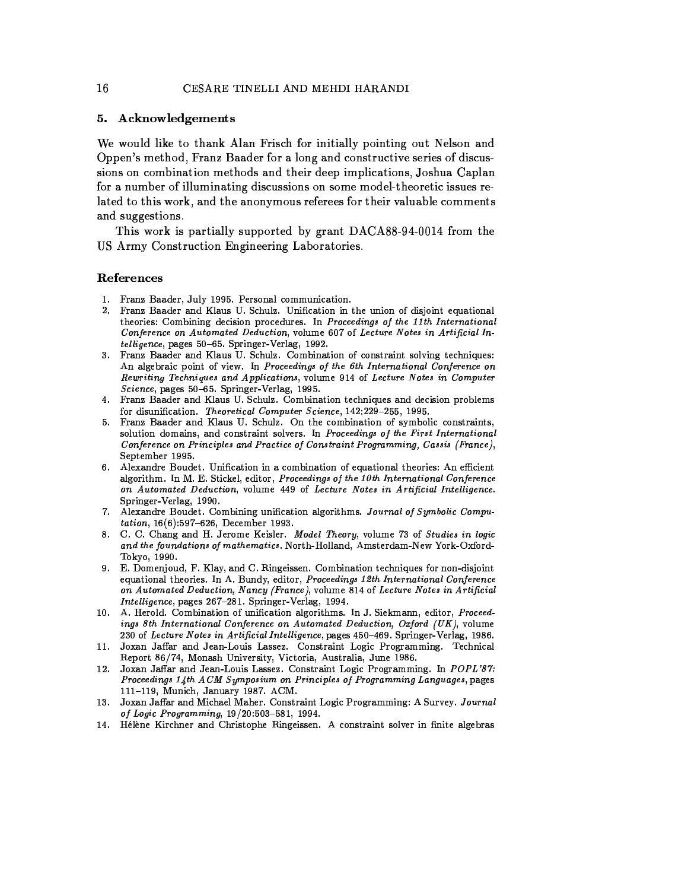# 5. Acknowledgements

We would like to thank Alan Frisch for initially pointing out Nelson and Oppen's method, Franz Baader for a long and constructive series of discussions on combination methods and their deep implications, Joshua Caplan for a number of illuminating discussions on some model-theoretic issues related to this work, and the anonymous referees for their valuable comments and suggestions.

This work is partially supported by grant DACA88-94-0014 from the US Army Construction Engineering Laboratories.

# References

- 1. Franz Baader, July 1995. Personal communication.
- 2. Franz Baader and Klaus U. Schulz. Unification in the union of disjoint equational theories: Combining decision procedures. In Proceedings of the 11th International Conference on Automated Deduction, volume 607 of Lecture Notes in Artificial Intelligence, pages 50–65. Springer-Verlag, 1992.
- 3. Franz Baader and Klaus U. Schulz. Combination of constraint solving techniques: An algebraic point of view. In Proceedings of the 6th International Conference on Rewriting Techniques and Applications, volume 914 of Lecture Notes in Computer Science, pages 50-65. Springer-Verlag, 1995.
- 4. Franz Baader and Klaus U. Schulz. Combination techniques and decision problems for disunification. Theoretical Computer Science, 142:229-255, 1995.
- 5. Franz Baader and Klaus U. Schulz. On the combination of symbolic constraints, solution domains, and constraint solvers. In Proceedings of the First International Conference on Principles and Practice of Constraint Programming, Cassis (France), September 1995.
- 6. Alexandre Boudet. Unification in a combination of equational theories: An efficient algorithm. In M. E. Stickel, editor, Proceedings of the 10th International Conference on Automated Deduction, volume 449 of Lecture Notes in Artificial Intelligence. Springer-Verlag, 1990.
- 7. Alexandre Boudet. Combining unification algorithms. Journal of Symbolic Computation, 16(6):597-626, December 1993.
- 8. C. C. Chang and H. Jerome Keisler. Model Theory, volume 73 of Studies in logic and the foundations of mathematics. North-Holland, Amsterdam-New York-Oxford-Tokyo, 1990.
- 9. E. Domenjoud, F. Klay, and C. Ringeissen. Combination techniques for non-disjoint equational theories. In A. Bundy, editor, Proceedings 12th International Conference on Automated Deduction, Nancy (France), volume 814 of Lecture Notes in Artificial Intelligence, pages 267-281. Springer-Verlag, 1994.
- 10. A. Herold. Combination of unification algorithms. In J. Siekmann, editor, Proceedings 8th International Conference on Automated Deduction, Oxford (UK), volume 230 of Lecture Notes in Artificial Intelligence, pages 450-469. Springer-Verlag, 1986.
- Joxan Jaffar and Jean-Louis Lassez. Constraint Logic Programming. Technical Report 86/74, Monash University, Victoria, Australia, June 1986.
- 12. Joxan Jaffar and Jean-Louis Lassez. Constraint Logic Programming. In POPL'87: Proceedings 14th ACM Symposium on Principles of Programming Languages, pages 111-119, Munich, January 1987. ACM.
- 13. Joxan Jaffar and Michael Maher. Constraint Logic Programming: A Survey. Journal of Logic Programming, 19/20:503-581, 1994.
- 14. Hélène Kirchner and Christophe Ringeissen. A constraint solver in finite algebras

16